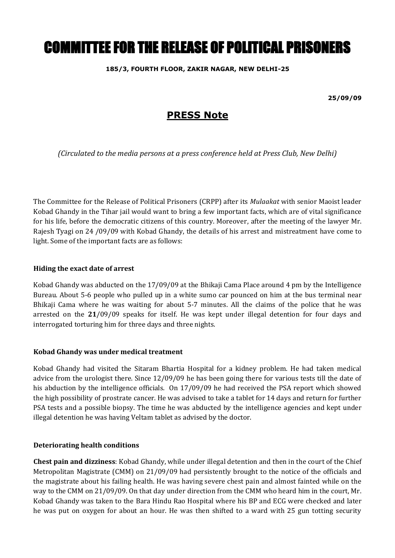# COMMITTEE FOR THE RELEASE OF POLITICAL PRISONERS

### **185/3, FOURTH FLOOR, ZAKIR NAGAR, NEW DELHI-25**

**25/09/09**

# **PRESS Note**

*(Circulated to the media persons at a press conference held at Press Club, New Delhi)*

The Committee for the Release of Political Prisoners (CRPP) after its *Mulaakat* with senior Maoist leader Kobad Ghandy in the Tihar jail would want to bring a few important facts, which are of vital significance for his life, before the democratic citizens of this country. Moreover, after the meeting of the lawyer Mr. Rajesh Tyagi on 24 /09/09 with Kobad Ghandy, the details of his arrest and mistreatment have come to light. Some of the important facts are as follows:

#### **Hiding the exact date of arrest**

Kobad Ghandy was abducted on the 17/09/09 at the Bhikaji Cama Place around 4 pm by the Intelligence Bureau. About 5-6 people who pulled up in a white sumo car pounced on him at the bus terminal near Bhikaji Cama where he was waiting for about 5-7 minutes. All the claims of the police that he was arrested on the **21**/09/09 speaks for itself. He was kept under illegal detention for four days and interrogated torturing him for three days and three nights.

#### **Kobad Ghandy was under medical treatment**

Kobad Ghandy had visited the Sitaram Bhartia Hospital for a kidney problem. He had taken medical advice from the urologist there. Since 12/09/09 he has been going there for various tests till the date of his abduction by the intelligence officials. On 17/09/09 he had received the PSA report which showed the high possibility of prostrate cancer. He was advised to take a tablet for 14 days and return for further PSA tests and a possible biopsy. The time he was abducted by the intelligence agencies and kept under illegal detention he was having Veltam tablet as advised by the doctor.

# **Deteriorating health conditions**

**Chest pain and dizziness**: Kobad Ghandy, while under illegal detention and then in the court of the Chief Metropolitan Magistrate (CMM) on 21/09/09 had persistently brought to the notice of the officials and the magistrate about his failing health. He was having severe chest pain and almost fainted while on the way to the CMM on 21/09/09. On that day under direction from the CMM who heard him in the court, Mr. Kobad Ghandy was taken to the Bara Hindu Rao Hospital where his BP and ECG were checked and later he was put on oxygen for about an hour. He was then shifted to a ward with 25 gun totting security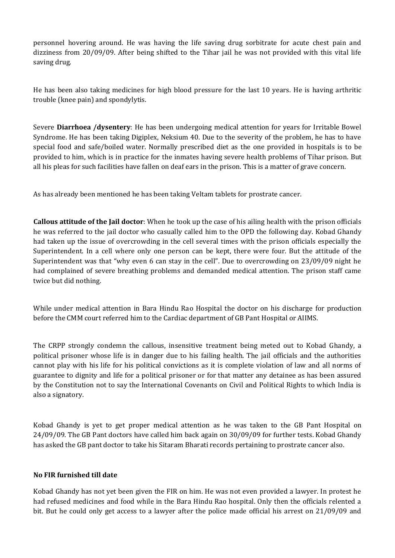personnel hovering around. He was having the life saving drug sorbitrate for acute chest pain and dizziness from 20/09/09. After being shifted to the Tihar jail he was not provided with this vital life saving drug.

He has been also taking medicines for high blood pressure for the last 10 years. He is having arthritic trouble (knee pain) and spondylytis.

Severe **Diarrhoea /dysentery**: He has been undergoing medical attention for years for Irritable Bowel Syndrome. He has been taking Digiplex, Neksium 40. Due to the severity of the problem, he has to have special food and safe/boiled water. Normally prescribed diet as the one provided in hospitals is to be provided to him, which is in practice for the inmates having severe health problems of Tihar prison. But all his pleas for such facilities have fallen on deaf ears in the prison. This is a matter of grave concern.

As has already been mentioned he has been taking Veltam tablets for prostrate cancer.

**Callous attitude of the Jail doctor**: When he took up the case of his ailing health with the prison officials he was referred to the jail doctor who casually called him to the OPD the following day. Kobad Ghandy had taken up the issue of overcrowding in the cell several times with the prison officials especially the Superintendent. In a cell where only one person can be kept, there were four. But the attitude of the Superintendent was that "why even 6 can stay in the cell". Due to overcrowding on 23/09/09 night he had complained of severe breathing problems and demanded medical attention. The prison staff came twice but did nothing.

While under medical attention in Bara Hindu Rao Hospital the doctor on his discharge for production before the CMM court referred him to the Cardiac department of GB Pant Hospital or AIIMS.

The CRPP strongly condemn the callous, insensitive treatment being meted out to Kobad Ghandy, a political prisoner whose life is in danger due to his failing health. The jail officials and the authorities cannot play with his life for his political convictions as it is complete violation of law and all norms of guarantee to dignity and life for a political prisoner or for that matter any detainee as has been assured by the Constitution not to say the International Covenants on Civil and Political Rights to which India is also a signatory.

Kobad Ghandy is yet to get proper medical attention as he was taken to the GB Pant Hospital on 24/09/09. The GB Pant doctors have called him back again on 30/09/09 for further tests. Kobad Ghandy has asked the GB pant doctor to take his Sitaram Bharati records pertaining to prostrate cancer also.

# **No FIR furnished till date**

Kobad Ghandy has not yet been given the FIR on him. He was not even provided a lawyer. In protest he had refused medicines and food while in the Bara Hindu Rao hospital. Only then the officials relented a bit. But he could only get access to a lawyer after the police made official his arrest on 21/09/09 and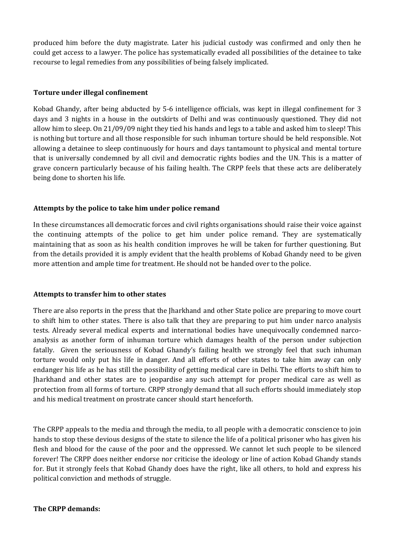produced him before the duty magistrate. Later his judicial custody was confirmed and only then he could get access to a lawyer. The police has systematically evaded all possibilities of the detainee to take recourse to legal remedies from any possibilities of being falsely implicated.

### **Torture under illegal confinement**

Kobad Ghandy, after being abducted by 5-6 intelligence officials, was kept in illegal confinement for 3 days and 3 nights in a house in the outskirts of Delhi and was continuously questioned. They did not allow him to sleep. On 21/09/09 night they tied his hands and legs to a table and asked him to sleep! This is nothing but torture and all those responsible for such inhuman torture should be held responsible. Not allowing a detainee to sleep continuously for hours and days tantamount to physical and mental torture that is universally condemned by all civil and democratic rights bodies and the UN. This is a matter of grave concern particularly because of his failing health. The CRPP feels that these acts are deliberately being done to shorten his life.

# **Attempts by the police to take him under police remand**

In these circumstances all democratic forces and civil rights organisations should raise their voice against the continuing attempts of the police to get him under police remand. They are systematically maintaining that as soon as his health condition improves he will be taken for further questioning. But from the details provided it is amply evident that the health problems of Kobad Ghandy need to be given more attention and ample time for treatment. He should not be handed over to the police.

#### **Attempts to transfer him to other states**

There are also reports in the press that the Jharkhand and other State police are preparing to move court to shift him to other states. There is also talk that they are preparing to put him under narco analysis tests. Already several medical experts and international bodies have unequivocally condemned narcoanalysis as another form of inhuman torture which damages health of the person under subjection fatally. Given the seriousness of Kobad Ghandy's failing health we strongly feel that such inhuman torture would only put his life in danger. And all efforts of other states to take him away can only endanger his life as he has still the possibility of getting medical care in Delhi. The efforts to shift him to Jharkhand and other states are to jeopardise any such attempt for proper medical care as well as protection from all forms of torture. CRPP strongly demand that all such efforts should immediately stop and his medical treatment on prostrate cancer should start henceforth.

The CRPP appeals to the media and through the media, to all people with a democratic conscience to join hands to stop these devious designs of the state to silence the life of a political prisoner who has given his flesh and blood for the cause of the poor and the oppressed. We cannot let such people to be silenced forever! The CRPP does neither endorse nor criticise the ideology or line of action Kobad Ghandy stands for. But it strongly feels that Kobad Ghandy does have the right, like all others, to hold and express his political conviction and methods of struggle.

#### **The CRPP demands:**